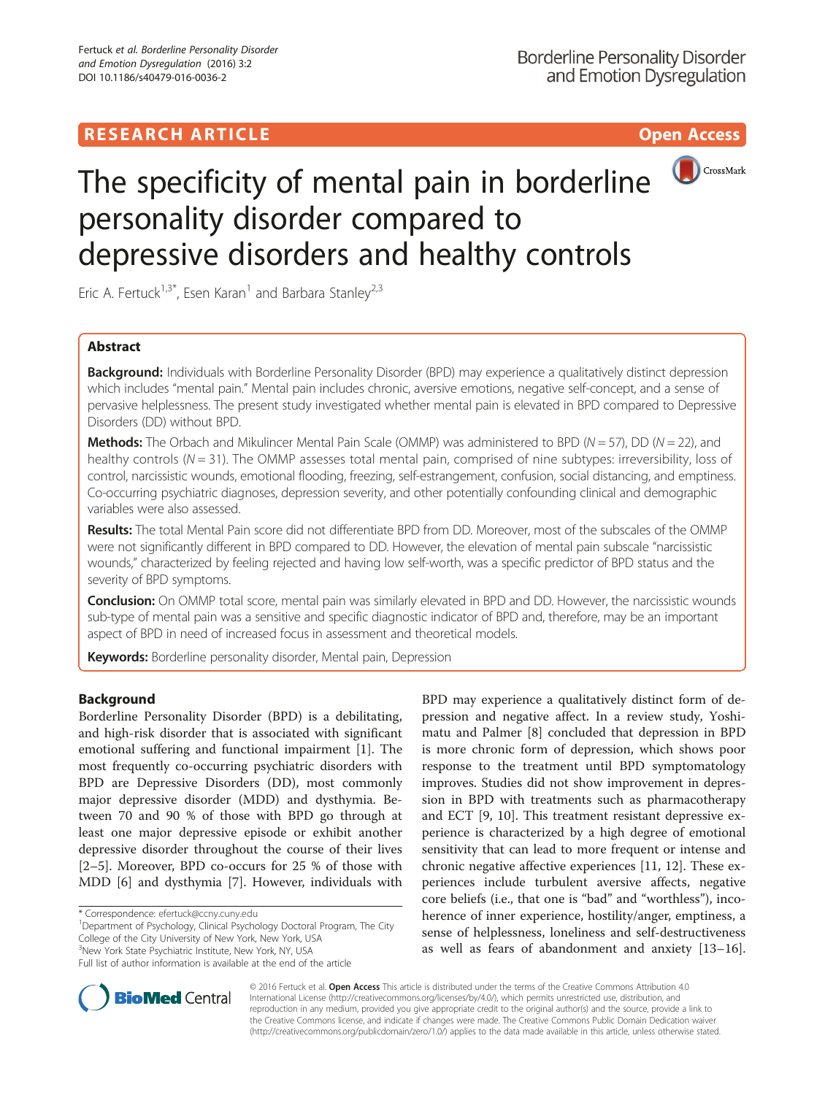

# The specificity of mental pain in borderline personality disorder compared to depressive disorders and healthy controls

Eric A. Fertuck<sup>1,3\*</sup>, Esen Karan<sup>1</sup> and Barbara Stanley<sup>2,3</sup>

# Abstract

Background: Individuals with Borderline Personality Disorder (BPD) may experience a qualitatively distinct depression which includes "mental pain." Mental pain includes chronic, aversive emotions, negative self-concept, and a sense of pervasive helplessness. The present study investigated whether mental pain is elevated in BPD compared to Depressive Disorders (DD) without BPD.

**Methods:** The Orbach and Mikulincer Mental Pain Scale (OMMP) was administered to BPD ( $N = 57$ ), DD ( $N = 22$ ), and healthy controls ( $N = 31$ ). The OMMP assesses total mental pain, comprised of nine subtypes: irreversibility, loss of control, narcissistic wounds, emotional flooding, freezing, self-estrangement, confusion, social distancing, and emptiness. Co-occurring psychiatric diagnoses, depression severity, and other potentially confounding clinical and demographic variables were also assessed.

Results: The total Mental Pain score did not differentiate BPD from DD. Moreover, most of the subscales of the OMMP were not significantly different in BPD compared to DD. However, the elevation of mental pain subscale "narcissistic wounds," characterized by feeling rejected and having low self-worth, was a specific predictor of BPD status and the severity of BPD symptoms.

Conclusion: On OMMP total score, mental pain was similarly elevated in BPD and DD. However, the narcissistic wounds sub-type of mental pain was a sensitive and specific diagnostic indicator of BPD and, therefore, may be an important aspect of BPD in need of increased focus in assessment and theoretical models.

Keywords: Borderline personality disorder, Mental pain, Depression

# Background

Borderline Personality Disorder (BPD) is a debilitating, and high-risk disorder that is associated with significant emotional suffering and functional impairment [\[1](#page-6-0)]. The most frequently co-occurring psychiatric disorders with BPD are Depressive Disorders (DD), most commonly major depressive disorder (MDD) and dysthymia. Between 70 and 90 % of those with BPD go through at least one major depressive episode or exhibit another depressive disorder throughout the course of their lives [[2](#page-6-0)–[5\]](#page-6-0). Moreover, BPD co-occurs for 25 % of those with MDD [\[6](#page-6-0)] and dysthymia [[7\]](#page-6-0). However, individuals with

<sup>1</sup>Department of Psychology, Clinical Psychology Doctoral Program, The City College of the City University of New York, New York, USA

BPD may experience a qualitatively distinct form of depression and negative affect. In a review study, Yoshimatu and Palmer [[8\]](#page-6-0) concluded that depression in BPD is more chronic form of depression, which shows poor response to the treatment until BPD symptomatology improves. Studies did not show improvement in depression in BPD with treatments such as pharmacotherapy and ECT [[9, 10](#page-6-0)]. This treatment resistant depressive experience is characterized by a high degree of emotional sensitivity that can lead to more frequent or intense and chronic negative affective experiences [\[11](#page-6-0), [12](#page-6-0)]. These experiences include turbulent aversive affects, negative core beliefs (i.e., that one is "bad" and "worthless"), incoherence of inner experience, hostility/anger, emptiness, a sense of helplessness, loneliness and self-destructiveness as well as fears of abandonment and anxiety [[13](#page-6-0)–[16](#page--1-0)].



© 2016 Fertuck et al. Open Access This article is distributed under the terms of the Creative Commons Attribution 4.0 International License [\(http://creativecommons.org/licenses/by/4.0/](http://creativecommons.org/licenses/by/4.0/)), which permits unrestricted use, distribution, and reproduction in any medium, provided you give appropriate credit to the original author(s) and the source, provide a link to the Creative Commons license, and indicate if changes were made. The Creative Commons Public Domain Dedication waiver [\(http://creativecommons.org/publicdomain/zero/1.0/](http://creativecommons.org/publicdomain/zero/1.0/)) applies to the data made available in this article, unless otherwise stated.

<sup>\*</sup> Correspondence: [efertuck@ccny.cuny.edu](mailto:efertuck@ccny.cuny.edu) <sup>1</sup>

<sup>&</sup>lt;sup>3</sup>New York State Psychiatric Institute, New York, NY, USA

Full list of author information is available at the end of the article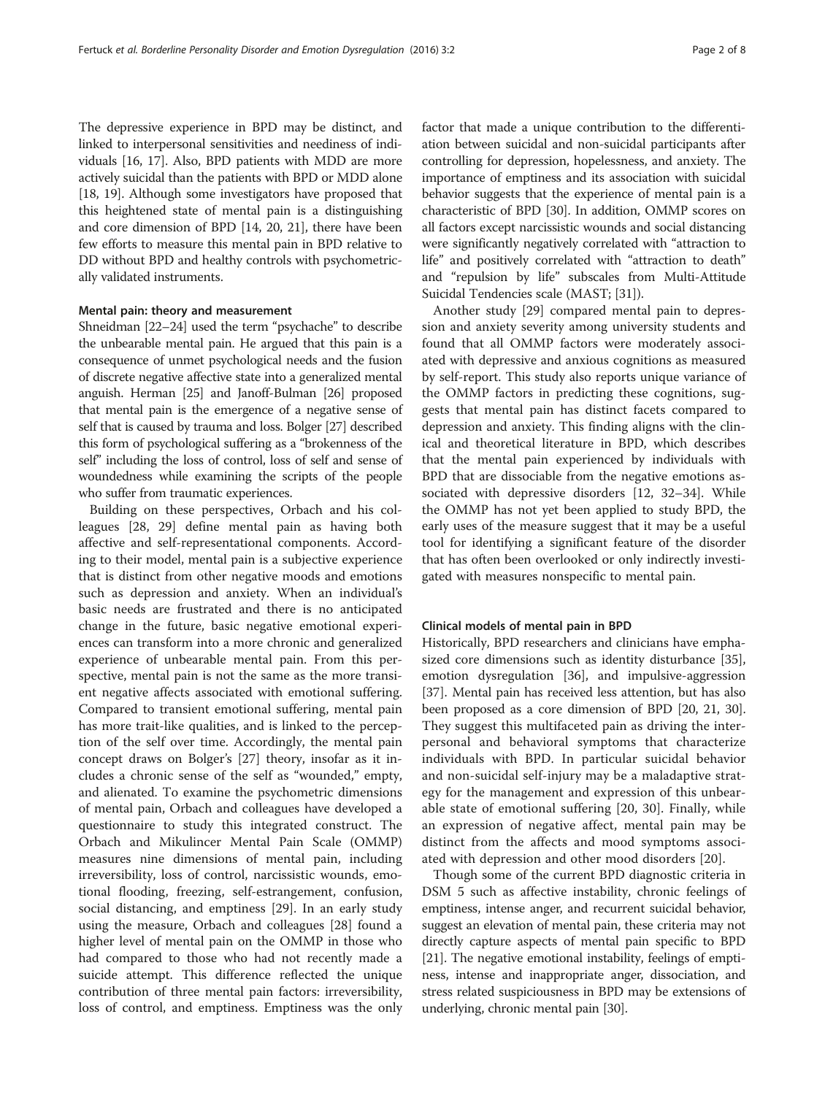The depressive experience in BPD may be distinct, and linked to interpersonal sensitivities and neediness of individuals [\[16, 17](#page--1-0)]. Also, BPD patients with MDD are more actively suicidal than the patients with BPD or MDD alone [[18](#page--1-0), [19\]](#page--1-0). Although some investigators have proposed that this heightened state of mental pain is a distinguishing and core dimension of BPD [\[14, 20, 21](#page--1-0)], there have been few efforts to measure this mental pain in BPD relative to DD without BPD and healthy controls with psychometrically validated instruments.

#### Mental pain: theory and measurement

Shneidman [\[22](#page--1-0)–[24](#page--1-0)] used the term "psychache" to describe the unbearable mental pain. He argued that this pain is a consequence of unmet psychological needs and the fusion of discrete negative affective state into a generalized mental anguish. Herman [[25](#page--1-0)] and Janoff-Bulman [\[26\]](#page--1-0) proposed that mental pain is the emergence of a negative sense of self that is caused by trauma and loss. Bolger [[27](#page--1-0)] described this form of psychological suffering as a "brokenness of the self" including the loss of control, loss of self and sense of woundedness while examining the scripts of the people who suffer from traumatic experiences.

Building on these perspectives, Orbach and his colleagues [[28, 29](#page--1-0)] define mental pain as having both affective and self-representational components. According to their model, mental pain is a subjective experience that is distinct from other negative moods and emotions such as depression and anxiety. When an individual's basic needs are frustrated and there is no anticipated change in the future, basic negative emotional experiences can transform into a more chronic and generalized experience of unbearable mental pain. From this perspective, mental pain is not the same as the more transient negative affects associated with emotional suffering. Compared to transient emotional suffering, mental pain has more trait-like qualities, and is linked to the perception of the self over time. Accordingly, the mental pain concept draws on Bolger's [[27\]](#page--1-0) theory, insofar as it includes a chronic sense of the self as "wounded," empty, and alienated. To examine the psychometric dimensions of mental pain, Orbach and colleagues have developed a questionnaire to study this integrated construct. The Orbach and Mikulincer Mental Pain Scale (OMMP) measures nine dimensions of mental pain, including irreversibility, loss of control, narcissistic wounds, emotional flooding, freezing, self-estrangement, confusion, social distancing, and emptiness [\[29\]](#page--1-0). In an early study using the measure, Orbach and colleagues [\[28](#page--1-0)] found a higher level of mental pain on the OMMP in those who had compared to those who had not recently made a suicide attempt. This difference reflected the unique contribution of three mental pain factors: irreversibility, loss of control, and emptiness. Emptiness was the only factor that made a unique contribution to the differentiation between suicidal and non-suicidal participants after controlling for depression, hopelessness, and anxiety. The importance of emptiness and its association with suicidal behavior suggests that the experience of mental pain is a characteristic of BPD [\[30\]](#page--1-0). In addition, OMMP scores on all factors except narcissistic wounds and social distancing were significantly negatively correlated with "attraction to life" and positively correlated with "attraction to death" and "repulsion by life" subscales from Multi-Attitude Suicidal Tendencies scale (MAST; [\[31\]](#page--1-0)).

Another study [\[29\]](#page--1-0) compared mental pain to depression and anxiety severity among university students and found that all OMMP factors were moderately associated with depressive and anxious cognitions as measured by self-report. This study also reports unique variance of the OMMP factors in predicting these cognitions, suggests that mental pain has distinct facets compared to depression and anxiety. This finding aligns with the clinical and theoretical literature in BPD, which describes that the mental pain experienced by individuals with BPD that are dissociable from the negative emotions associated with depressive disorders [\[12,](#page-6-0) [32](#page--1-0)–[34](#page--1-0)]. While the OMMP has not yet been applied to study BPD, the early uses of the measure suggest that it may be a useful tool for identifying a significant feature of the disorder that has often been overlooked or only indirectly investigated with measures nonspecific to mental pain.

#### Clinical models of mental pain in BPD

Historically, BPD researchers and clinicians have emphasized core dimensions such as identity disturbance [\[35](#page--1-0)], emotion dysregulation [[36\]](#page--1-0), and impulsive-aggression [[37\]](#page--1-0). Mental pain has received less attention, but has also been proposed as a core dimension of BPD [\[20](#page--1-0), [21, 30](#page--1-0)]. They suggest this multifaceted pain as driving the interpersonal and behavioral symptoms that characterize individuals with BPD. In particular suicidal behavior and non-suicidal self-injury may be a maladaptive strategy for the management and expression of this unbearable state of emotional suffering [\[20](#page--1-0), [30](#page--1-0)]. Finally, while an expression of negative affect, mental pain may be distinct from the affects and mood symptoms associated with depression and other mood disorders [\[20](#page--1-0)].

Though some of the current BPD diagnostic criteria in DSM 5 such as affective instability, chronic feelings of emptiness, intense anger, and recurrent suicidal behavior, suggest an elevation of mental pain, these criteria may not directly capture aspects of mental pain specific to BPD [[21](#page--1-0)]. The negative emotional instability, feelings of emptiness, intense and inappropriate anger, dissociation, and stress related suspiciousness in BPD may be extensions of underlying, chronic mental pain [\[30](#page--1-0)].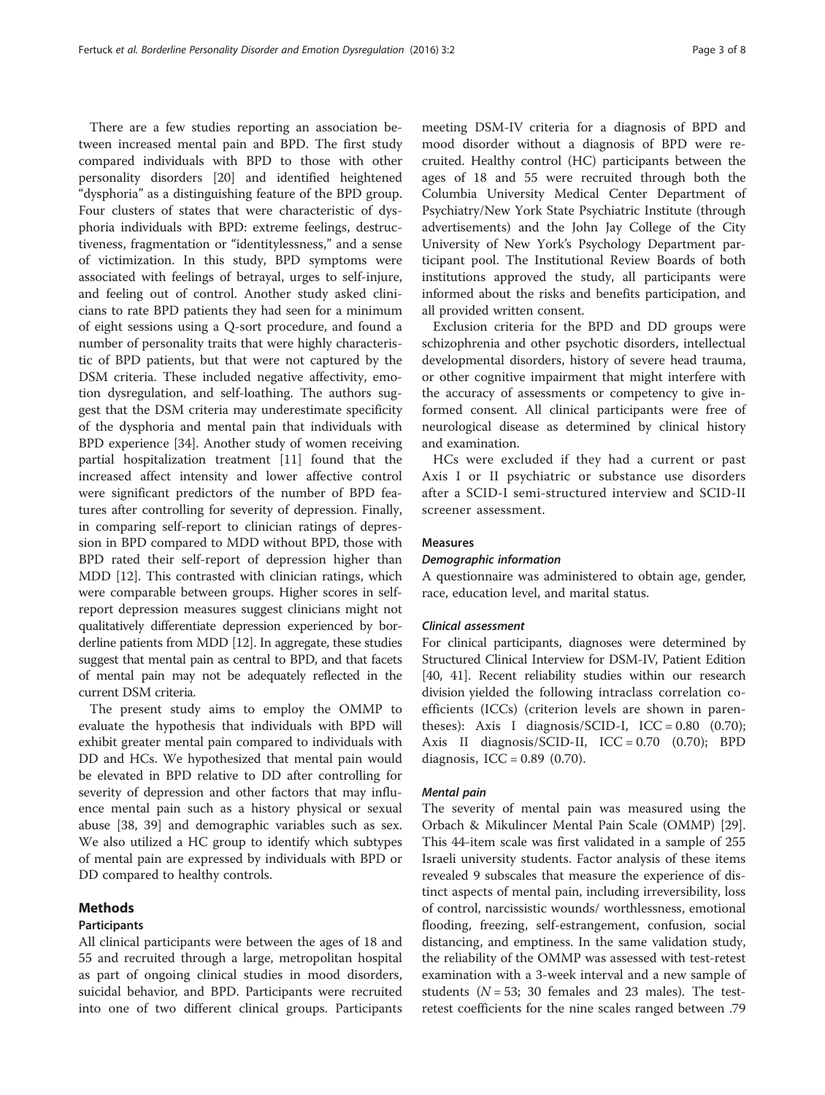There are a few studies reporting an association between increased mental pain and BPD. The first study compared individuals with BPD to those with other personality disorders [[20\]](#page--1-0) and identified heightened "dysphoria" as a distinguishing feature of the BPD group. Four clusters of states that were characteristic of dysphoria individuals with BPD: extreme feelings, destructiveness, fragmentation or "identitylessness," and a sense of victimization. In this study, BPD symptoms were associated with feelings of betrayal, urges to self-injure, and feeling out of control. Another study asked clinicians to rate BPD patients they had seen for a minimum of eight sessions using a Q-sort procedure, and found a number of personality traits that were highly characteristic of BPD patients, but that were not captured by the DSM criteria. These included negative affectivity, emotion dysregulation, and self-loathing. The authors suggest that the DSM criteria may underestimate specificity of the dysphoria and mental pain that individuals with BPD experience [[34](#page--1-0)]. Another study of women receiving partial hospitalization treatment [\[11\]](#page-6-0) found that the increased affect intensity and lower affective control were significant predictors of the number of BPD features after controlling for severity of depression. Finally, in comparing self-report to clinician ratings of depression in BPD compared to MDD without BPD, those with BPD rated their self-report of depression higher than MDD [[12\]](#page-6-0). This contrasted with clinician ratings, which were comparable between groups. Higher scores in selfreport depression measures suggest clinicians might not qualitatively differentiate depression experienced by borderline patients from MDD [\[12\]](#page-6-0). In aggregate, these studies suggest that mental pain as central to BPD, and that facets of mental pain may not be adequately reflected in the current DSM criteria.

The present study aims to employ the OMMP to evaluate the hypothesis that individuals with BPD will exhibit greater mental pain compared to individuals with DD and HCs. We hypothesized that mental pain would be elevated in BPD relative to DD after controlling for severity of depression and other factors that may influence mental pain such as a history physical or sexual abuse [\[38](#page--1-0), [39\]](#page--1-0) and demographic variables such as sex. We also utilized a HC group to identify which subtypes of mental pain are expressed by individuals with BPD or DD compared to healthy controls.

### Methods

#### Participants

All clinical participants were between the ages of 18 and 55 and recruited through a large, metropolitan hospital as part of ongoing clinical studies in mood disorders, suicidal behavior, and BPD. Participants were recruited into one of two different clinical groups. Participants meeting DSM-IV criteria for a diagnosis of BPD and mood disorder without a diagnosis of BPD were recruited. Healthy control (HC) participants between the ages of 18 and 55 were recruited through both the Columbia University Medical Center Department of Psychiatry/New York State Psychiatric Institute (through advertisements) and the John Jay College of the City University of New York's Psychology Department participant pool. The Institutional Review Boards of both institutions approved the study, all participants were informed about the risks and benefits participation, and all provided written consent.

Exclusion criteria for the BPD and DD groups were schizophrenia and other psychotic disorders, intellectual developmental disorders, history of severe head trauma, or other cognitive impairment that might interfere with the accuracy of assessments or competency to give informed consent. All clinical participants were free of neurological disease as determined by clinical history and examination.

HCs were excluded if they had a current or past Axis I or II psychiatric or substance use disorders after a SCID-I semi-structured interview and SCID-II screener assessment.

#### Measures

A questionnaire was administered to obtain age, gender, race, education level, and marital status.

For clinical participants, diagnoses were determined by Structured Clinical Interview for DSM-IV, Patient Edition [[40](#page--1-0), [41\]](#page--1-0). Recent reliability studies within our research division yielded the following intraclass correlation coefficients (ICCs) (criterion levels are shown in parentheses): Axis I diagnosis/SCID-I,  $ICC = 0.80 (0.70);$ Axis II diagnosis/SCID-II, ICC = 0.70 (0.70); BPD diagnosis,  $ICC = 0.89 (0.70)$ .

The severity of mental pain was measured using the Orbach & Mikulincer Mental Pain Scale (OMMP) [\[29](#page--1-0)]. This 44-item scale was first validated in a sample of 255 Israeli university students. Factor analysis of these items revealed 9 subscales that measure the experience of distinct aspects of mental pain, including irreversibility, loss of control, narcissistic wounds/ worthlessness, emotional flooding, freezing, self-estrangement, confusion, social distancing, and emptiness. In the same validation study, the reliability of the OMMP was assessed with test-retest examination with a 3-week interval and a new sample of students ( $N = 53$ ; 30 females and 23 males). The testretest coefficients for the nine scales ranged between .79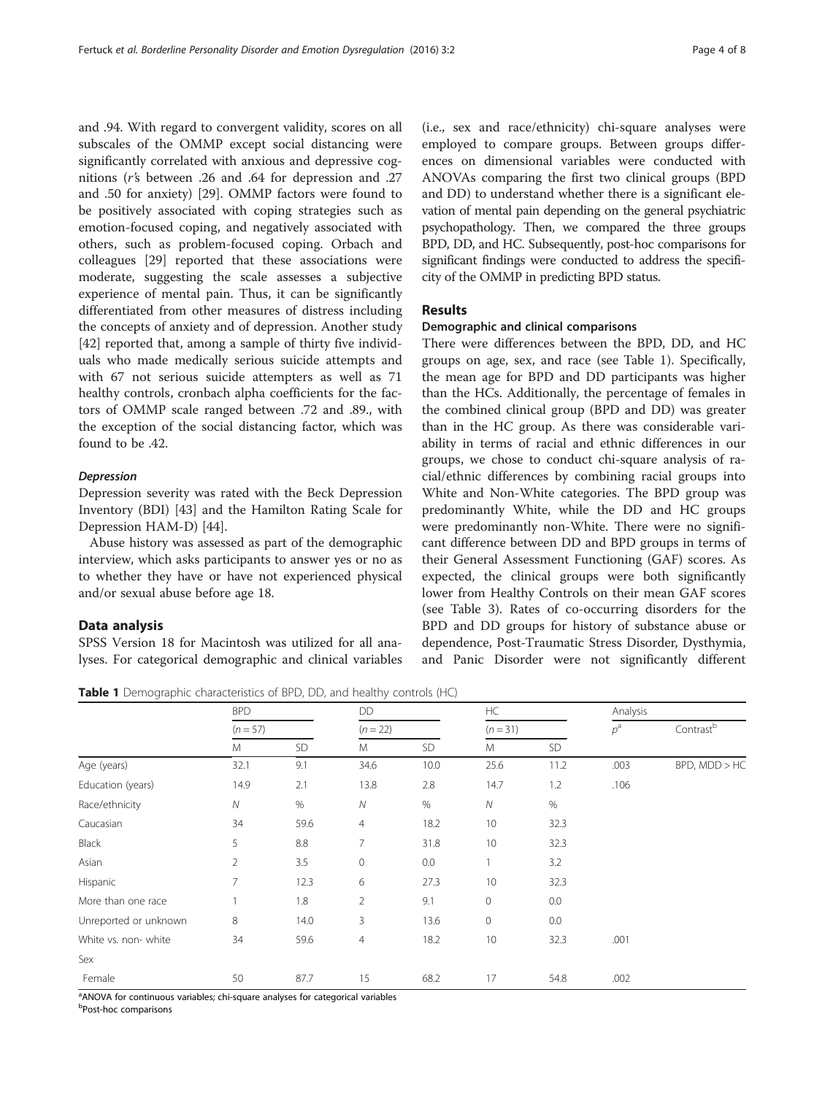and .94. With regard to convergent validity, scores on all subscales of the OMMP except social distancing were significantly correlated with anxious and depressive cognitions (r's between .26 and .64 for depression and .27 and .50 for anxiety) [\[29\]](#page--1-0). OMMP factors were found to be positively associated with coping strategies such as emotion-focused coping, and negatively associated with others, such as problem-focused coping. Orbach and colleagues [\[29](#page--1-0)] reported that these associations were moderate, suggesting the scale assesses a subjective experience of mental pain. Thus, it can be significantly differentiated from other measures of distress including the concepts of anxiety and of depression. Another study [[42\]](#page--1-0) reported that, among a sample of thirty five individuals who made medically serious suicide attempts and with 67 not serious suicide attempters as well as 71 healthy controls, cronbach alpha coefficients for the factors of OMMP scale ranged between .72 and .89., with the exception of the social distancing factor, which was found to be .42.

Depression Depression severity was rated with the Beck Depression Inventory (BDI) [\[43](#page--1-0)] and the Hamilton Rating Scale for Depression HAM-D) [\[44\]](#page--1-0).

Abuse history was assessed as part of the demographic interview, which asks participants to answer yes or no as to whether they have or have not experienced physical and/or sexual abuse before age 18.

### Data analysis

SPSS Version 18 for Macintosh was utilized for all analyses. For categorical demographic and clinical variables

(i.e., sex and race/ethnicity) chi-square analyses were employed to compare groups. Between groups differences on dimensional variables were conducted with ANOVAs comparing the first two clinical groups (BPD and DD) to understand whether there is a significant elevation of mental pain depending on the general psychiatric psychopathology. Then, we compared the three groups BPD, DD, and HC. Subsequently, post-hoc comparisons for significant findings were conducted to address the specificity of the OMMP in predicting BPD status.

### Results

#### Demographic and clinical comparisons

There were differences between the BPD, DD, and HC groups on age, sex, and race (see Table 1). Specifically, the mean age for BPD and DD participants was higher than the HCs. Additionally, the percentage of females in the combined clinical group (BPD and DD) was greater than in the HC group. As there was considerable variability in terms of racial and ethnic differences in our groups, we chose to conduct chi-square analysis of racial/ethnic differences by combining racial groups into White and Non-White categories. The BPD group was predominantly White, while the DD and HC groups were predominantly non-White. There were no significant difference between DD and BPD groups in terms of their General Assessment Functioning (GAF) scores. As expected, the clinical groups were both significantly lower from Healthy Controls on their mean GAF scores (see Table [3\)](#page-5-0). Rates of co-occurring disorders for the BPD and DD groups for history of substance abuse or dependence, Post-Traumatic Stress Disorder, Dysthymia, and Panic Disorder were not significantly different

Table 1 Demographic characteristics of BPD, DD, and healthy controls (HC)

|                       | <b>BPD</b><br>$(n = 57)$ |      | DD<br>$(n = 22)$ |      | HC<br>$(n = 31)$ |      | Analysis    |                       |
|-----------------------|--------------------------|------|------------------|------|------------------|------|-------------|-----------------------|
|                       |                          |      |                  |      |                  |      | $p^{\rm a}$ | Contrast <sup>b</sup> |
|                       | M                        | SD   | M                | SD   | M                | SD   |             |                       |
| Age (years)           | 32.1                     | 9.1  | 34.6             | 10.0 | 25.6             | 11.2 | .003        | BPD, MDD > HC         |
| Education (years)     | 14.9                     | 2.1  | 13.8             | 2.8  | 14.7             | 1.2  | .106        |                       |
| Race/ethnicity        | $\mathcal N$             | $\%$ | $\mathcal N$     | %    | ${\cal N}$       | $\%$ |             |                       |
| Caucasian             | 34                       | 59.6 | $\overline{4}$   | 18.2 | 10               | 32.3 |             |                       |
| Black                 | 5                        | 8.8  | 7                | 31.8 | 10               | 32.3 |             |                       |
| Asian                 | $\overline{2}$           | 3.5  | $\circ$          | 0.0  | 1                | 3.2  |             |                       |
| Hispanic              | 7                        | 12.3 | 6                | 27.3 | 10               | 32.3 |             |                       |
| More than one race    |                          | 1.8  | $\overline{2}$   | 9.1  | $\mathbf 0$      | 0.0  |             |                       |
| Unreported or unknown | 8                        | 14.0 | 3                | 13.6 | $\circ$          | 0.0  |             |                       |
| White vs. non-white   | 34                       | 59.6 | 4                | 18.2 | 10               | 32.3 | .001        |                       |
| Sex                   |                          |      |                  |      |                  |      |             |                       |
| Female                | 50                       | 87.7 | 15               | 68.2 | 17               | 54.8 | .002        |                       |

<sup>a</sup> ANOVA for continuous variables; chi-square analyses for categorical variables

<sup>b</sup>Post-hoc comparisons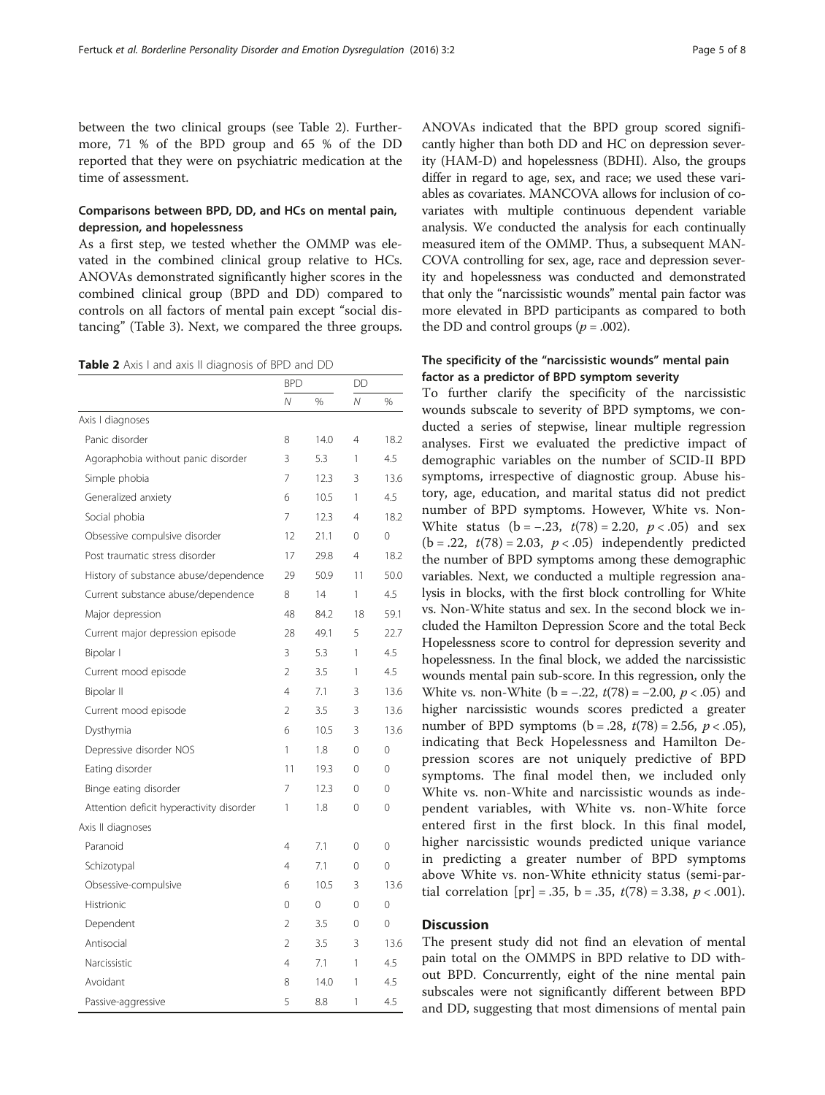between the two clinical groups (see Table 2). Furthermore, 71 % of the BPD group and 65 % of the DD reported that they were on psychiatric medication at the time of assessment.

### Comparisons between BPD, DD, and HCs on mental pain, depression, and hopelessness

As a first step, we tested whether the OMMP was elevated in the combined clinical group relative to HCs. ANOVAs demonstrated significantly higher scores in the combined clinical group (BPD and DD) compared to controls on all factors of mental pain except "social distancing" (Table [3](#page-5-0)). Next, we compared the three groups.

| Table 2 Axis I and axis II diagnosis of BPD and DD |  |
|----------------------------------------------------|--|
|----------------------------------------------------|--|

|                                          | <b>BPD</b>     |          | DD       |             |
|------------------------------------------|----------------|----------|----------|-------------|
|                                          | N              | $\%$     | N        | %           |
| Axis I diagnoses                         |                |          |          |             |
| Panic disorder                           | 8              | 14.0     | 4        | 18.2        |
| Agoraphobia without panic disorder       | 3              | 5.3      | 1        | 4.5         |
| Simple phobia                            | 7              | 12.3     | 3        | 13.6        |
| Generalized anxiety                      | 6              | 10.5     | 1        | 4.5         |
| Social phobia                            | 7              | 12.3     | 4        | 18.2        |
| Obsessive compulsive disorder            | 12             | 21.1     | 0        | 0           |
| Post traumatic stress disorder           | 17             | 29.8     | 4        | 18.2        |
| History of substance abuse/dependence    | 29             | 50.9     | 11       | 50.0        |
| Current substance abuse/dependence       | 8              | 14       | 1        | 4.5         |
| Major depression                         | 48             | 84.2     | 18       | 59.1        |
| Current major depression episode         | 28             | 49.1     | 5        | 22.7        |
| Bipolar I                                | 3              | 5.3      | 1        | 4.5         |
| Current mood episode                     | $\overline{2}$ | 3.5      | 1        | 4.5         |
| Bipolar II                               | 4              | 7.1      | 3        | 13.6        |
| Current mood episode                     | 2              | 3.5      | 3        | 13.6        |
| Dysthymia                                | 6              | 10.5     | 3        | 13.6        |
| Depressive disorder NOS                  | 1              | 1.8      | $\Omega$ | 0           |
| Eating disorder                          | 11             | 19.3     | $\Omega$ | 0           |
| Binge eating disorder                    | 7              | 12.3     | $\Omega$ | 0           |
| Attention deficit hyperactivity disorder | 1              | 1.8      | $\Omega$ | 0           |
| Axis II diagnoses                        |                |          |          |             |
| Paranoid                                 | 4              | 7.1      | $\Omega$ | 0           |
| Schizotypal                              | $\overline{4}$ | 7.1      | 0        | 0           |
| Obsessive-compulsive                     | 6              | 10.5     | 3        | 13.6        |
| Histrionic                               | $\Omega$       | $\Omega$ | $\Omega$ | $\mathbf 0$ |
| Dependent                                | $\overline{2}$ | 3.5      | $\Omega$ | $\Omega$    |
| Antisocial                               | $\mathfrak{D}$ | 3.5      | 3        | 13.6        |
| Narcissistic                             | 4              | 7.1      | 1        | 4.5         |
| Avoidant                                 | 8              | 14.0     | 1        | 4.5         |
| Passive-aggressive                       | 5              | 8.8      | 1        | 4.5         |

ANOVAs indicated that the BPD group scored significantly higher than both DD and HC on depression severity (HAM-D) and hopelessness (BDHI). Also, the groups differ in regard to age, sex, and race; we used these variables as covariates. MANCOVA allows for inclusion of covariates with multiple continuous dependent variable analysis. We conducted the analysis for each continually measured item of the OMMP. Thus, a subsequent MAN-COVA controlling for sex, age, race and depression severity and hopelessness was conducted and demonstrated that only the "narcissistic wounds" mental pain factor was more elevated in BPD participants as compared to both the DD and control groups ( $p = .002$ ).

# The specificity of the "narcissistic wounds" mental pain factor as a predictor of BPD symptom severity

To further clarify the specificity of the narcissistic wounds subscale to severity of BPD symptoms, we conducted a series of stepwise, linear multiple regression analyses. First we evaluated the predictive impact of demographic variables on the number of SCID-II BPD symptoms, irrespective of diagnostic group. Abuse history, age, education, and marital status did not predict number of BPD symptoms. However, White vs. Non-White status ( $b = -.23$ ,  $t(78) = 2.20$ ,  $p < .05$ ) and sex (b = .22,  $t(78) = 2.03$ ,  $p < .05$ ) independently predicted the number of BPD symptoms among these demographic variables. Next, we conducted a multiple regression analysis in blocks, with the first block controlling for White vs. Non-White status and sex. In the second block we included the Hamilton Depression Score and the total Beck Hopelessness score to control for depression severity and hopelessness. In the final block, we added the narcissistic wounds mental pain sub-score. In this regression, only the White vs. non-White ( $b = -.22$ ,  $t(78) = -2.00$ ,  $p < .05$ ) and higher narcissistic wounds scores predicted a greater number of BPD symptoms  $(b = .28, t(78) = 2.56, p < .05)$ , indicating that Beck Hopelessness and Hamilton Depression scores are not uniquely predictive of BPD symptoms. The final model then, we included only White vs. non-White and narcissistic wounds as independent variables, with White vs. non-White force entered first in the first block. In this final model, higher narcissistic wounds predicted unique variance in predicting a greater number of BPD symptoms above White vs. non-White ethnicity status (semi-partial correlation  $[pr] = .35$ ,  $b = .35$ ,  $t(78) = 3.38$ ,  $p < .001$ ).

#### **Discussion**

The present study did not find an elevation of mental pain total on the OMMPS in BPD relative to DD without BPD. Concurrently, eight of the nine mental pain subscales were not significantly different between BPD and DD, suggesting that most dimensions of mental pain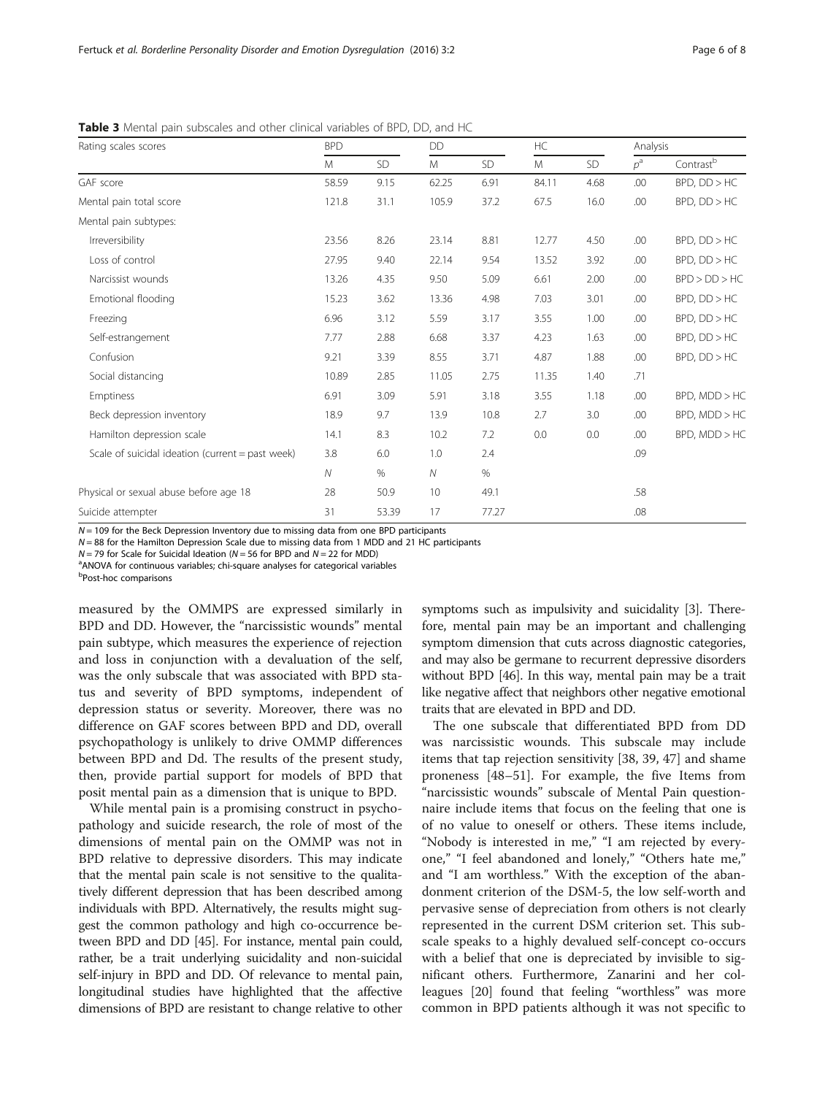<span id="page-5-0"></span>Table 3 Mental pain subscales and other clinical variables of BPD, DD, and HC

| Rating scales scores                             | <b>BPD</b> |       | <b>DD</b>  |       | HC    |      | Analysis    |                       |
|--------------------------------------------------|------------|-------|------------|-------|-------|------|-------------|-----------------------|
|                                                  | M          | SD    | M          | SD    | M     | SD   | $p^{\rm a}$ | Contrast <sup>b</sup> |
| GAF score                                        | 58.59      | 9.15  | 62.25      | 6.91  | 84.11 | 4.68 | .00         | $BPD$ , $DD > HC$     |
| Mental pain total score                          | 121.8      | 31.1  | 105.9      | 37.2  | 67.5  | 16.0 | .00         | $BPD$ , $DD > HC$     |
| Mental pain subtypes:                            |            |       |            |       |       |      |             |                       |
| Irreversibility                                  | 23.56      | 8.26  | 23.14      | 8.81  | 12.77 | 4.50 | .00         | $BPD$ , $DD > HC$     |
| Loss of control                                  | 27.95      | 9.40  | 22.14      | 9.54  | 13.52 | 3.92 | .00         | $BPD$ , $DD > HC$     |
| Narcissist wounds                                | 13.26      | 4.35  | 9.50       | 5.09  | 6.61  | 2.00 | .00         | BPD > DD > HC         |
| Emotional flooding                               | 15.23      | 3.62  | 13.36      | 4.98  | 7.03  | 3.01 | .00         | $BPD$ , $DD > HC$     |
| Freezing                                         | 6.96       | 3.12  | 5.59       | 3.17  | 3.55  | 1.00 | .00         | $BPD$ , $DD > HC$     |
| Self-estrangement                                | 7.77       | 2.88  | 6.68       | 3.37  | 4.23  | 1.63 | .00         | $BPD$ , $DD > HC$     |
| Confusion                                        | 9.21       | 3.39  | 8.55       | 3.71  | 4.87  | 1.88 | .00         | $BPD$ , $DD > HC$     |
| Social distancing                                | 10.89      | 2.85  | 11.05      | 2.75  | 11.35 | 1.40 | .71         |                       |
| Emptiness                                        | 6.91       | 3.09  | 5.91       | 3.18  | 3.55  | 1.18 | .00         | BPD, MDD > HC         |
| Beck depression inventory                        | 18.9       | 9.7   | 13.9       | 10.8  | 2.7   | 3.0  | .00         | BPD, MDD > HC         |
| Hamilton depression scale                        | 14.1       | 8.3   | 10.2       | 7.2   | 0.0   | 0.0  | .00         | BPD, MDD > HC         |
| Scale of suicidal ideation (current = past week) | 3.8        | 6.0   | 1.0        | 2.4   |       |      | .09         |                       |
|                                                  | ${\cal N}$ | $\%$  | ${\cal N}$ | $\%$  |       |      |             |                       |
| Physical or sexual abuse before age 18           | 28         | 50.9  | 10         | 49.1  |       |      | .58         |                       |
| Suicide attempter                                | 31         | 53.39 | 17         | 77.27 |       |      | .08         |                       |

 $N = 109$  for the Beck Depression Inventory due to missing data from one BPD participants

 $N = 88$  for the Hamilton Depression Scale due to missing data from 1 MDD and 21 HC participants

 $N = 79$  for Scale for Suicidal Ideation ( $N = 56$  for BPD and  $N = 22$  for MDD)

<sup>a</sup> ANOVA for continuous variables; chi-square analyses for categorical variables

<sup>b</sup>Post-hoc comparisons

measured by the OMMPS are expressed similarly in BPD and DD. However, the "narcissistic wounds" mental pain subtype, which measures the experience of rejection and loss in conjunction with a devaluation of the self, was the only subscale that was associated with BPD status and severity of BPD symptoms, independent of depression status or severity. Moreover, there was no difference on GAF scores between BPD and DD, overall psychopathology is unlikely to drive OMMP differences between BPD and Dd. The results of the present study, then, provide partial support for models of BPD that posit mental pain as a dimension that is unique to BPD.

While mental pain is a promising construct in psychopathology and suicide research, the role of most of the dimensions of mental pain on the OMMP was not in BPD relative to depressive disorders. This may indicate that the mental pain scale is not sensitive to the qualitatively different depression that has been described among individuals with BPD. Alternatively, the results might suggest the common pathology and high co-occurrence between BPD and DD [\[45\]](#page--1-0). For instance, mental pain could, rather, be a trait underlying suicidality and non-suicidal self-injury in BPD and DD. Of relevance to mental pain, longitudinal studies have highlighted that the affective dimensions of BPD are resistant to change relative to other symptoms such as impulsivity and suicidality [\[3](#page-6-0)]. Therefore, mental pain may be an important and challenging symptom dimension that cuts across diagnostic categories, and may also be germane to recurrent depressive disorders without BPD [\[46\]](#page--1-0). In this way, mental pain may be a trait like negative affect that neighbors other negative emotional traits that are elevated in BPD and DD.

The one subscale that differentiated BPD from DD was narcissistic wounds. This subscale may include items that tap rejection sensitivity [\[38, 39, 47\]](#page--1-0) and shame proneness [[48](#page--1-0)–[51](#page--1-0)]. For example, the five Items from "narcissistic wounds" subscale of Mental Pain questionnaire include items that focus on the feeling that one is of no value to oneself or others. These items include, "Nobody is interested in me," "I am rejected by everyone," "I feel abandoned and lonely," "Others hate me," and "I am worthless." With the exception of the abandonment criterion of the DSM-5, the low self-worth and pervasive sense of depreciation from others is not clearly represented in the current DSM criterion set. This subscale speaks to a highly devalued self-concept co-occurs with a belief that one is depreciated by invisible to significant others. Furthermore, Zanarini and her colleagues [[20\]](#page--1-0) found that feeling "worthless" was more common in BPD patients although it was not specific to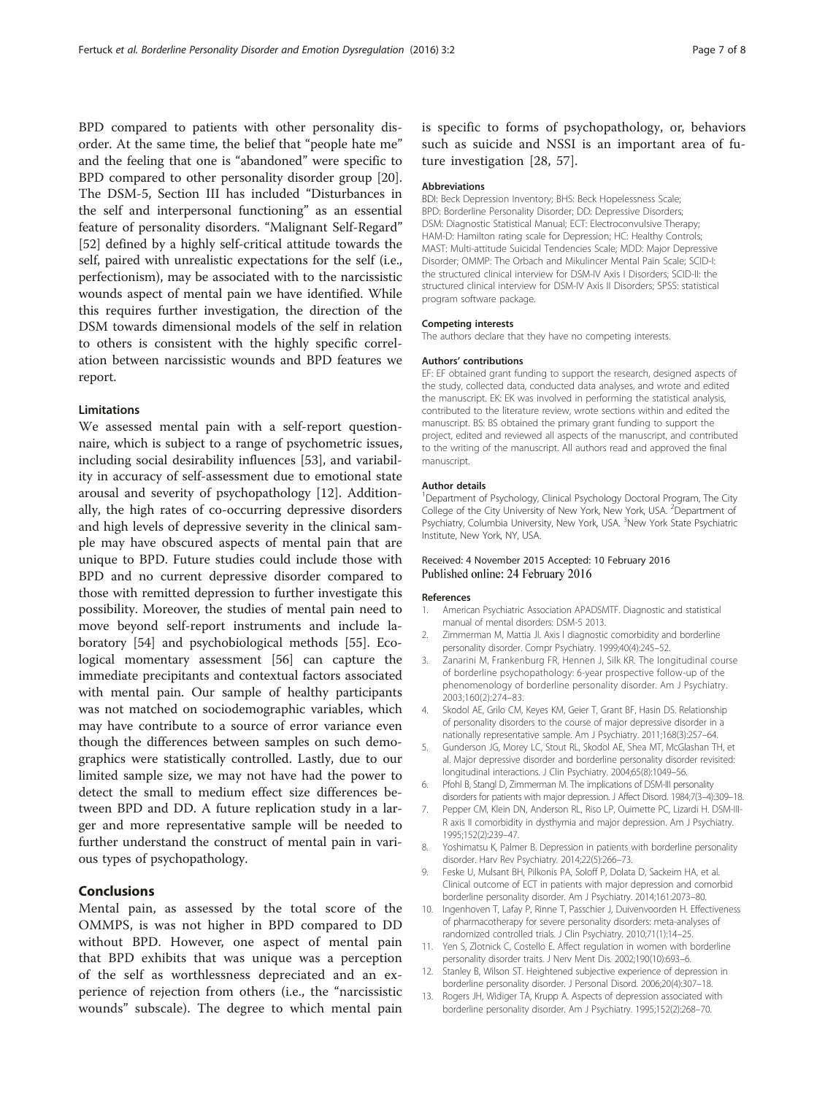<span id="page-6-0"></span>BPD compared to patients with other personality disorder. At the same time, the belief that "people hate me" and the feeling that one is "abandoned" were specific to BPD compared to other personality disorder group [\[20](#page--1-0)]. The DSM-5, Section III has included "Disturbances in the self and interpersonal functioning" as an essential feature of personality disorders. "Malignant Self-Regard" [[52\]](#page--1-0) defined by a highly self-critical attitude towards the self, paired with unrealistic expectations for the self (i.e., perfectionism), may be associated with to the narcissistic wounds aspect of mental pain we have identified. While this requires further investigation, the direction of the DSM towards dimensional models of the self in relation to others is consistent with the highly specific correlation between narcissistic wounds and BPD features we report.

#### **Limitations**

We assessed mental pain with a self-report questionnaire, which is subject to a range of psychometric issues, including social desirability influences [\[53\]](#page--1-0), and variability in accuracy of self-assessment due to emotional state arousal and severity of psychopathology [12]. Additionally, the high rates of co-occurring depressive disorders and high levels of depressive severity in the clinical sample may have obscured aspects of mental pain that are unique to BPD. Future studies could include those with BPD and no current depressive disorder compared to those with remitted depression to further investigate this possibility. Moreover, the studies of mental pain need to move beyond self-report instruments and include laboratory [\[54](#page--1-0)] and psychobiological methods [\[55\]](#page--1-0). Ecological momentary assessment [\[56\]](#page--1-0) can capture the immediate precipitants and contextual factors associated with mental pain. Our sample of healthy participants was not matched on sociodemographic variables, which may have contribute to a source of error variance even though the differences between samples on such demographics were statistically controlled. Lastly, due to our limited sample size, we may not have had the power to detect the small to medium effect size differences between BPD and DD. A future replication study in a larger and more representative sample will be needed to further understand the construct of mental pain in various types of psychopathology.

# Conclusions

Mental pain, as assessed by the total score of the OMMPS, is was not higher in BPD compared to DD without BPD. However, one aspect of mental pain that BPD exhibits that was unique was a perception of the self as worthlessness depreciated and an experience of rejection from others (i.e., the "narcissistic wounds" subscale). The degree to which mental pain is specific to forms of psychopathology, or, behaviors such as suicide and NSSI is an important area of future investigation [[28, 57\]](#page--1-0).

#### Abbreviations

BDI: Beck Depression Inventory; BHS: Beck Hopelessness Scale; BPD: Borderline Personality Disorder; DD: Depressive Disorders; DSM: Diagnostic Statistical Manual; ECT: Electroconvulsive Therapy; HAM-D: Hamilton rating scale for Depression; HC: Healthy Controls; MAST: Multi-attitude Suicidal Tendencies Scale; MDD: Major Depressive Disorder; OMMP: The Orbach and Mikulincer Mental Pain Scale; SCID-I: the structured clinical interview for DSM-IV Axis I Disorders; SCID-II: the structured clinical interview for DSM-IV Axis II Disorders; SPSS: statistical program software package.

#### Competing interests

The authors declare that they have no competing interests.

#### Authors' contributions

EF: EF obtained grant funding to support the research, designed aspects of the study, collected data, conducted data analyses, and wrote and edited the manuscript. EK: EK was involved in performing the statistical analysis, contributed to the literature review, wrote sections within and edited the manuscript. BS: BS obtained the primary grant funding to support the project, edited and reviewed all aspects of the manuscript, and contributed to the writing of the manuscript. All authors read and approved the final manuscript.

#### Author details

<sup>1</sup>Department of Psychology, Clinical Psychology Doctoral Program, The City College of the City University of New York, New York, USA. <sup>2</sup> Department of Psychiatry, Columbia University, New York, USA. <sup>3</sup>New York State Psychiatric Institute, New York, NY, USA.

#### Received: 4 November 2015 Accepted: 10 February 2016 Published online: 24 February 2016

#### References

- 1. American Psychiatric Association APADSMTF. Diagnostic and statistical manual of mental disorders: DSM-5 2013.
- 2. Zimmerman M, Mattia JI. Axis I diagnostic comorbidity and borderline personality disorder. Compr Psychiatry. 1999;40(4):245–52.
- 3. Zanarini M, Frankenburg FR, Hennen J, Silk KR. The longitudinal course of borderline psychopathology: 6-year prospective follow-up of the phenomenology of borderline personality disorder. Am J Psychiatry. 2003;160(2):274–83.
- 4. Skodol AE, Grilo CM, Keyes KM, Geier T, Grant BF, Hasin DS. Relationship of personality disorders to the course of major depressive disorder in a nationally representative sample. Am J Psychiatry. 2011;168(3):257–64.
- 5. Gunderson JG, Morey LC, Stout RL, Skodol AE, Shea MT, McGlashan TH, et al. Major depressive disorder and borderline personality disorder revisited: longitudinal interactions. J Clin Psychiatry. 2004;65(8):1049–56.
- 6. Pfohl B, Stangl D, Zimmerman M. The implications of DSM-III personality disorders for patients with major depression. J Affect Disord. 1984;7(3–4):309–18.
- Pepper CM, Klein DN, Anderson RL, Riso LP, Ouimette PC, Lizardi H. DSM-III-R axis II comorbidity in dysthymia and major depression. Am J Psychiatry. 1995;152(2):239–47.
- 8. Yoshimatsu K, Palmer B. Depression in patients with borderline personality disorder. Harv Rev Psychiatry. 2014;22(5):266–73.
- 9. Feske U, Mulsant BH, Pilkonis PA, Soloff P, Dolata D, Sackeim HA, et al. Clinical outcome of ECT in patients with major depression and comorbid borderline personality disorder. Am J Psychiatry. 2014;161:2073–80.
- 10. Ingenhoven T, Lafay P, Rinne T, Passchier J, Duivenvoorden H. Effectiveness of pharmacotherapy for severe personality disorders: meta-analyses of randomized controlled trials. J Clin Psychiatry. 2010;71(1):14–25.
- 11. Yen S, Zlotnick C, Costello E. Affect regulation in women with borderline personality disorder traits. J Nerv Ment Dis. 2002;190(10):693–6.
- 12. Stanley B, Wilson ST. Heightened subjective experience of depression in borderline personality disorder. J Personal Disord. 2006;20(4):307–18.
- 13. Rogers JH, Widiger TA, Krupp A. Aspects of depression associated with borderline personality disorder. Am J Psychiatry. 1995;152(2):268–70.